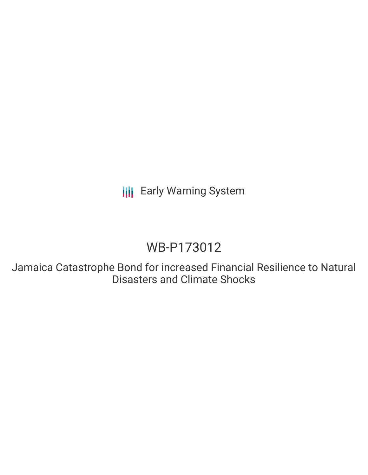**III** Early Warning System

# WB-P173012

Jamaica Catastrophe Bond for increased Financial Resilience to Natural Disasters and Climate Shocks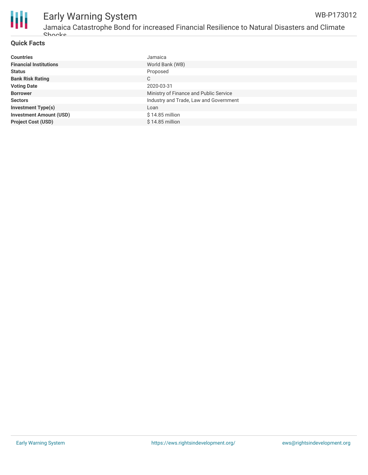

## Early Warning System

#### **Quick Facts**

| <b>Countries</b>               | Jamaica                                |
|--------------------------------|----------------------------------------|
| <b>Financial Institutions</b>  | World Bank (WB)                        |
| <b>Status</b>                  | Proposed                               |
| <b>Bank Risk Rating</b>        | C                                      |
| <b>Voting Date</b>             | 2020-03-31                             |
| <b>Borrower</b>                | Ministry of Finance and Public Service |
| <b>Sectors</b>                 | Industry and Trade, Law and Government |
| <b>Investment Type(s)</b>      | Loan                                   |
| <b>Investment Amount (USD)</b> | $$14.85$ million                       |
| <b>Project Cost (USD)</b>      | $$14.85$ million                       |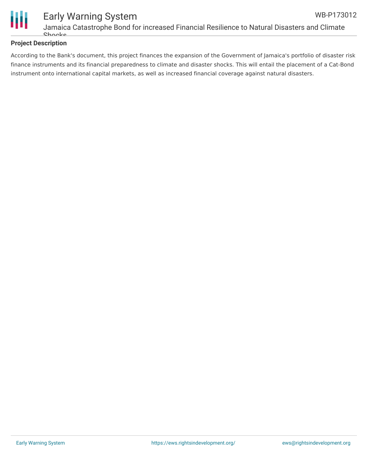

### **Project Description**

According to the Bank's document, this project finances the expansion of the Government of Jamaica's portfolio of disaster risk finance instruments and its financial preparedness to climate and disaster shocks. This will entail the placement of a Cat-Bond instrument onto international capital markets, as well as increased financial coverage against natural disasters.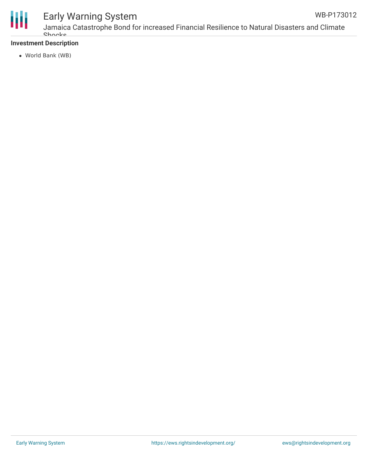

## Early Warning System

#### **Investment Description**

World Bank (WB)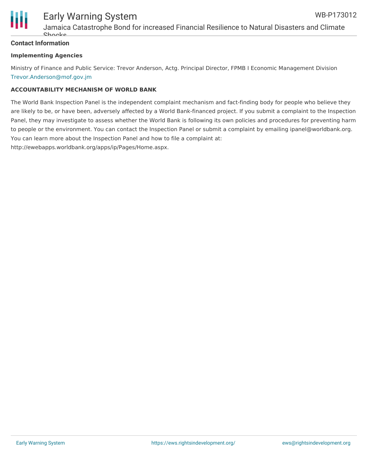

#### **Contact Information**

#### **Implementing Agencies**

Ministry of Finance and Public Service: Trevor Anderson, Actg. Principal Director, FPMB I Economic Management Division [Trevor.Anderson@mof.gov.jm](mailto:Trevor.Anderson@mof.gov.jm)

#### **ACCOUNTABILITY MECHANISM OF WORLD BANK**

The World Bank Inspection Panel is the independent complaint mechanism and fact-finding body for people who believe they are likely to be, or have been, adversely affected by a World Bank-financed project. If you submit a complaint to the Inspection Panel, they may investigate to assess whether the World Bank is following its own policies and procedures for preventing harm to people or the environment. You can contact the Inspection Panel or submit a complaint by emailing ipanel@worldbank.org. You can learn more about the Inspection Panel and how to file a complaint at: http://ewebapps.worldbank.org/apps/ip/Pages/Home.aspx.